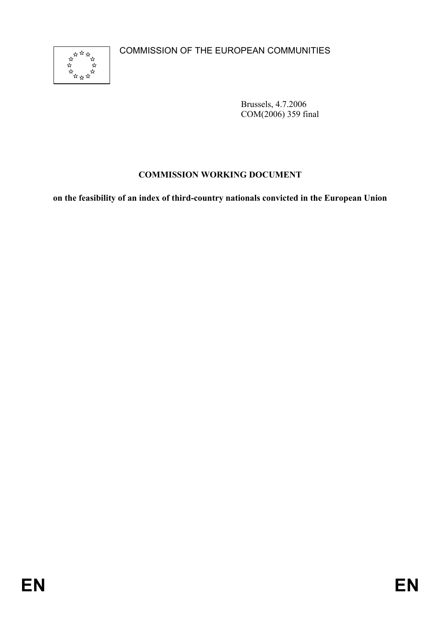COMMISSION OF THE EUROPEAN COMMUNITIES



Brussels, 4.7.2006 COM(2006) 359 final

# **COMMISSION WORKING DOCUMENT**

**on the feasibility of an index of third-country nationals convicted in the European Union**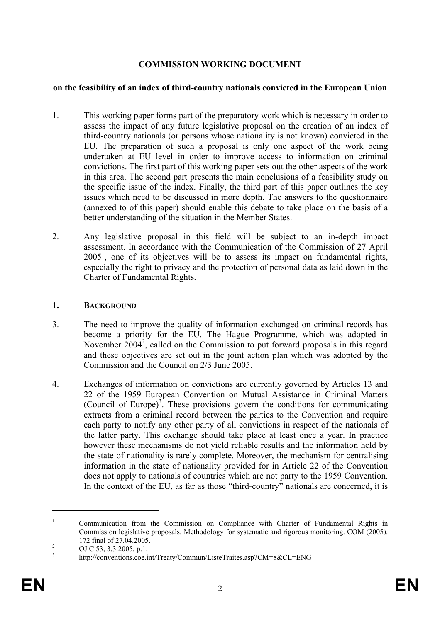## **COMMISSION WORKING DOCUMENT**

### **on the feasibility of an index of third-country nationals convicted in the European Union**

- 1. This working paper forms part of the preparatory work which is necessary in order to assess the impact of any future legislative proposal on the creation of an index of third-country nationals (or persons whose nationality is not known) convicted in the EU. The preparation of such a proposal is only one aspect of the work being undertaken at EU level in order to improve access to information on criminal convictions. The first part of this working paper sets out the other aspects of the work in this area. The second part presents the main conclusions of a feasibility study on the specific issue of the index. Finally, the third part of this paper outlines the key issues which need to be discussed in more depth. The answers to the questionnaire (annexed to of this paper) should enable this debate to take place on the basis of a better understanding of the situation in the Member States.
- 2. Any legislative proposal in this field will be subject to an in-depth impact assessment. In accordance with the Communication of the Commission of 27 April  $2005<sup>1</sup>$ , one of its objectives will be to assess its impact on fundamental rights, especially the right to privacy and the protection of personal data as laid down in the Charter of Fundamental Rights.

## **1. BACKGROUND**

- 3. The need to improve the quality of information exchanged on criminal records has become a priority for the EU. The Hague Programme, which was adopted in November  $2004^2$ , called on the Commission to put forward proposals in this regard and these objectives are set out in the joint action plan which was adopted by the Commission and the Council on 2/3 June 2005.
- 4. Exchanges of information on convictions are currently governed by Articles 13 and 22 of the 1959 European Convention on Mutual Assistance in Criminal Matters (Council of Europe)<sup>3</sup>. These provisions govern the conditions for communicating extracts from a criminal record between the parties to the Convention and require each party to notify any other party of all convictions in respect of the nationals of the latter party. This exchange should take place at least once a year. In practice however these mechanisms do not yield reliable results and the information held by the state of nationality is rarely complete. Moreover, the mechanism for centralising information in the state of nationality provided for in Article 22 of the Convention does not apply to nationals of countries which are not party to the 1959 Convention. In the context of the EU, as far as those "third-country" nationals are concerned, it is

<sup>1</sup> Communication from the Commission on Compliance with Charter of Fundamental Rights in Commission legislative proposals. Methodology for systematic and rigorous monitoring. COM (2005).  $172 \text{ final of } 27.04.2005.$ 

OJ C 53, 3.3.2005, p.1.

<sup>3</sup> http://conventions.coe.int/Treaty/Commun/ListeTraites.asp?CM=8&CL=ENG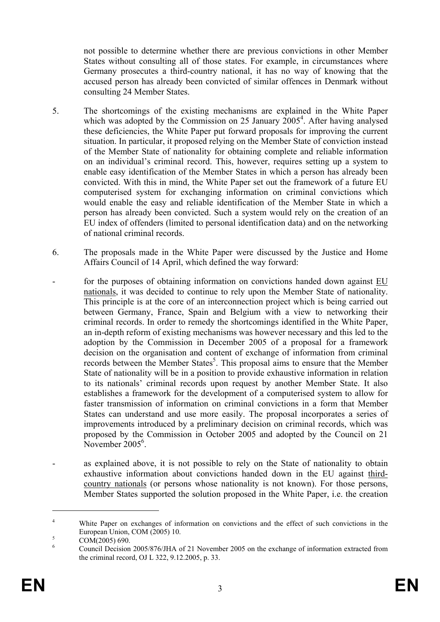not possible to determine whether there are previous convictions in other Member States without consulting all of those states. For example, in circumstances where Germany prosecutes a third-country national, it has no way of knowing that the accused person has already been convicted of similar offences in Denmark without consulting 24 Member States.

- 5. The shortcomings of the existing mechanisms are explained in the White Paper which was adopted by the Commission on 25 January 2005<sup>4</sup>. After having analysed these deficiencies, the White Paper put forward proposals for improving the current situation. In particular, it proposed relying on the Member State of conviction instead of the Member State of nationality for obtaining complete and reliable information on an individual's criminal record. This, however, requires setting up a system to enable easy identification of the Member States in which a person has already been convicted. With this in mind, the White Paper set out the framework of a future EU computerised system for exchanging information on criminal convictions which would enable the easy and reliable identification of the Member State in which a person has already been convicted. Such a system would rely on the creation of an EU index of offenders (limited to personal identification data) and on the networking of national criminal records.
- 6. The proposals made in the White Paper were discussed by the Justice and Home Affairs Council of 14 April, which defined the way forward:
- for the purposes of obtaining information on convictions handed down against EU nationals, it was decided to continue to rely upon the Member State of nationality. This principle is at the core of an interconnection project which is being carried out between Germany, France, Spain and Belgium with a view to networking their criminal records. In order to remedy the shortcomings identified in the White Paper, an in-depth reform of existing mechanisms was however necessary and this led to the adoption by the Commission in December 2005 of a proposal for a framework decision on the organisation and content of exchange of information from criminal records between the Member States<sup>5</sup>. This proposal aims to ensure that the Member State of nationality will be in a position to provide exhaustive information in relation to its nationals' criminal records upon request by another Member State. It also establishes a framework for the development of a computerised system to allow for faster transmission of information on criminal convictions in a form that Member States can understand and use more easily. The proposal incorporates a series of improvements introduced by a preliminary decision on criminal records, which was proposed by the Commission in October 2005 and adopted by the Council on 21 November 2005<sup>6</sup>.
- as explained above, it is not possible to rely on the State of nationality to obtain exhaustive information about convictions handed down in the EU against thirdcountry nationals (or persons whose nationality is not known). For those persons, Member States supported the solution proposed in the White Paper, i.e. the creation

<sup>4</sup> White Paper on exchanges of information on convictions and the effect of such convictions in the European Union, COM (2005) 10.

COM(2005) 690.

<sup>6</sup> Council Decision 2005/876/JHA of 21 November 2005 on the exchange of information extracted from the criminal record, OJ L 322, 9.12.2005, p. 33.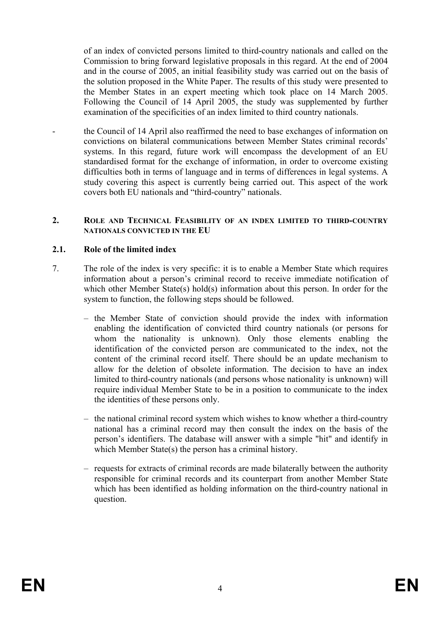of an index of convicted persons limited to third-country nationals and called on the Commission to bring forward legislative proposals in this regard. At the end of 2004 and in the course of 2005, an initial feasibility study was carried out on the basis of the solution proposed in the White Paper. The results of this study were presented to the Member States in an expert meeting which took place on 14 March 2005. Following the Council of 14 April 2005, the study was supplemented by further examination of the specificities of an index limited to third country nationals.

the Council of 14 April also reaffirmed the need to base exchanges of information on convictions on bilateral communications between Member States criminal records' systems. In this regard, future work will encompass the development of an EU standardised format for the exchange of information, in order to overcome existing difficulties both in terms of language and in terms of differences in legal systems. A study covering this aspect is currently being carried out. This aspect of the work covers both EU nationals and "third-country" nationals.

#### **2. ROLE AND TECHNICAL FEASIBILITY OF AN INDEX LIMITED TO THIRD-COUNTRY NATIONALS CONVICTED IN THE EU**

### **2.1. Role of the limited index**

- 7. The role of the index is very specific: it is to enable a Member State which requires information about a person's criminal record to receive immediate notification of which other Member State(s) hold(s) information about this person. In order for the system to function, the following steps should be followed.
	- the Member State of conviction should provide the index with information enabling the identification of convicted third country nationals (or persons for whom the nationality is unknown). Only those elements enabling the identification of the convicted person are communicated to the index, not the content of the criminal record itself. There should be an update mechanism to allow for the deletion of obsolete information. The decision to have an index limited to third-country nationals (and persons whose nationality is unknown) will require individual Member State to be in a position to communicate to the index the identities of these persons only.
	- the national criminal record system which wishes to know whether a third-country national has a criminal record may then consult the index on the basis of the person's identifiers. The database will answer with a simple "hit" and identify in which Member State(s) the person has a criminal history.
	- requests for extracts of criminal records are made bilaterally between the authority responsible for criminal records and its counterpart from another Member State which has been identified as holding information on the third-country national in question.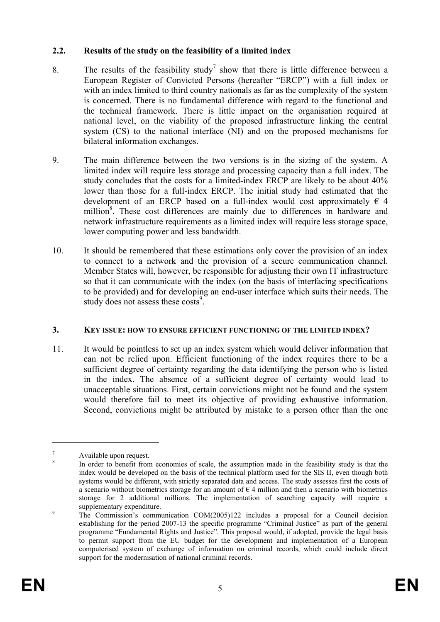## **2.2. Results of the study on the feasibility of a limited index**

- 8. The results of the feasibility study<sup>7</sup> show that there is little difference between a European Register of Convicted Persons (hereafter "ERCP") with a full index or with an index limited to third country nationals as far as the complexity of the system is concerned. There is no fundamental difference with regard to the functional and the technical framework. There is little impact on the organisation required at national level, on the viability of the proposed infrastructure linking the central system (CS) to the national interface (NI) and on the proposed mechanisms for bilateral information exchanges.
- 9. The main difference between the two versions is in the sizing of the system. A limited index will require less storage and processing capacity than a full index. The study concludes that the costs for a limited-index ERCP are likely to be about 40% lower than those for a full-index ERCP. The initial study had estimated that the development of an ERCP based on a full-index would cost approximately  $\epsilon$  4 million<sup>8</sup>. These cost differences are mainly due to differences in hardware and network infrastructure requirements as a limited index will require less storage space, lower computing power and less bandwidth.
- 10. It should be remembered that these estimations only cover the provision of an index to connect to a network and the provision of a secure communication channel. Member States will, however, be responsible for adjusting their own IT infrastructure so that it can communicate with the index (on the basis of interfacing specifications to be provided) and for developing an end-user interface which suits their needs. The study does not assess these costs<sup>9</sup>.

### **3. KEY ISSUE: HOW TO ENSURE EFFICIENT FUNCTIONING OF THE LIMITED INDEX?**

11. It would be pointless to set up an index system which would deliver information that can not be relied upon. Efficient functioning of the index requires there to be a sufficient degree of certainty regarding the data identifying the person who is listed in the index. The absence of a sufficient degree of certainty would lead to unacceptable situations. First, certain convictions might not be found and the system would therefore fail to meet its objective of providing exhaustive information. Second, convictions might be attributed by mistake to a person other than the one

<sup>7</sup> Available upon request. 8

In order to benefit from economies of scale, the assumption made in the feasibility study is that the index would be developed on the basis of the technical platform used for the SIS II, even though both systems would be different, with strictly separated data and access. The study assesses first the costs of a scenario without biometrics storage for an amount of  $\epsilon$  4 million and then a scenario with biometrics storage for 2 additional millions. The implementation of searching capacity will require a supplementary expenditure.

The Commission's communication COM(2005)122 includes a proposal for a Council decision establishing for the period 2007-13 the specific programme "Criminal Justice" as part of the general programme "Fundamental Rights and Justice". This proposal would, if adopted, provide the legal basis to permit support from the EU budget for the development and implementation of a European computerised system of exchange of information on criminal records, which could include direct support for the modernisation of national criminal records.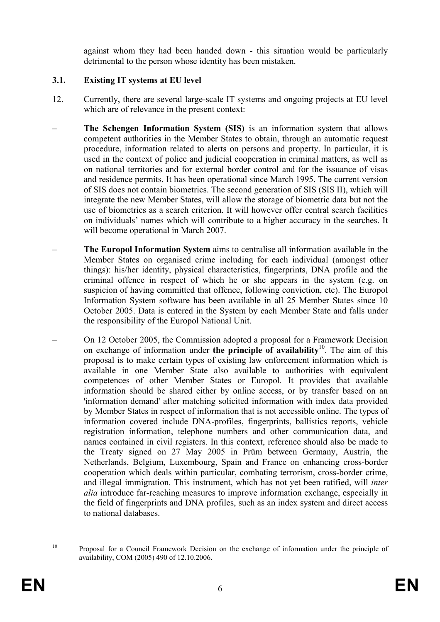against whom they had been handed down - this situation would be particularly detrimental to the person whose identity has been mistaken.

## **3.1. Existing IT systems at EU level**

- 12. Currently, there are several large-scale IT systems and ongoing projects at EU level which are of relevance in the present context:
- **The Schengen Information System (SIS)** is an information system that allows competent authorities in the Member States to obtain, through an automatic request procedure, information related to alerts on persons and property. In particular, it is used in the context of police and judicial cooperation in criminal matters, as well as on national territories and for external border control and for the issuance of visas and residence permits. It has been operational since March 1995. The current version of SIS does not contain biometrics. The second generation of SIS (SIS II), which will integrate the new Member States, will allow the storage of biometric data but not the use of biometrics as a search criterion. It will however offer central search facilities on individuals' names which will contribute to a higher accuracy in the searches. It will become operational in March 2007.
- **The Europol Information System** aims to centralise all information available in the Member States on organised crime including for each individual (amongst other things): his/her identity, physical characteristics, fingerprints, DNA profile and the criminal offence in respect of which he or she appears in the system (e.g. on suspicion of having committed that offence, following conviction, etc). The Europol Information System software has been available in all 25 Member States since 10 October 2005. Data is entered in the System by each Member State and falls under the responsibility of the Europol National Unit.
- On 12 October 2005, the Commission adopted a proposal for a Framework Decision on exchange of information under **the principle of availability**10. The aim of this proposal is to make certain types of existing law enforcement information which is available in one Member State also available to authorities with equivalent competences of other Member States or Europol. It provides that available information should be shared either by online access, or by transfer based on an 'information demand' after matching solicited information with index data provided by Member States in respect of information that is not accessible online. The types of information covered include DNA-profiles, fingerprints, ballistics reports, vehicle registration information, telephone numbers and other communication data, and names contained in civil registers. In this context, reference should also be made to the Treaty signed on 27 May 2005 in Prüm between Germany, Austria, the Netherlands, Belgium, Luxembourg, Spain and France on enhancing cross-border cooperation which deals within particular, combating terrorism, cross-border crime, and illegal immigration. This instrument, which has not yet been ratified, will *inter alia* introduce far-reaching measures to improve information exchange, especially in the field of fingerprints and DNA profiles, such as an index system and direct access to national databases.

<sup>&</sup>lt;sup>10</sup> Proposal for a Council Framework Decision on the exchange of information under the principle of availability, COM (2005) 490 of 12.10.2006.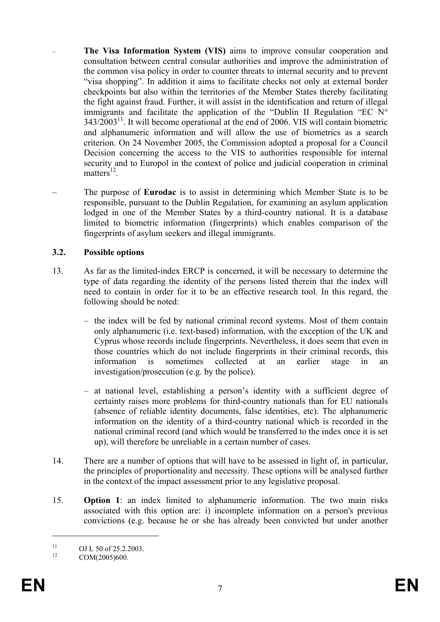- **The Visa Information System (VIS)** aims to improve consular cooperation and consultation between central consular authorities and improve the administration of the common visa policy in order to counter threats to internal security and to prevent "visa shopping". In addition it aims to facilitate checks not only at external border checkpoints but also within the territories of the Member States thereby facilitating the fight against fraud. Further, it will assist in the identification and return of illegal immigrants and facilitate the application of the "Dublin II Regulation "EC N°  $343/2003<sup>11</sup>$ . It will become operational at the end of 2006. VIS will contain biometric and alphanumeric information and will allow the use of biometrics as a search criterion. On 24 November 2005, the Commission adopted a proposal for a Council Decision concerning the access to the VIS to authorities responsible for internal security and to Europol in the context of police and judicial cooperation in criminal matters $^{12}$ .
- The purpose of **Eurodac** is to assist in determining which Member State is to be responsible, pursuant to the Dublin Regulation, for examining an asylum application lodged in one of the Member States by a third-country national. It is a database limited to biometric information (fingerprints) which enables comparison of the fingerprints of asylum seekers and illegal immigrants.

## **3.2. Possible options**

- 13. As far as the limited-index ERCP is concerned, it will be necessary to determine the type of data regarding the identity of the persons listed therein that the index will need to contain in order for it to be an effective research tool. In this regard, the following should be noted:
	- the index will be fed by national criminal record systems. Most of them contain only alphanumeric (i.e. text-based) information, with the exception of the UK and Cyprus whose records include fingerprints. Nevertheless, it does seem that even in those countries which do not include fingerprints in their criminal records, this information is sometimes collected at an earlier stage in an investigation/prosecution (e.g. by the police).
	- at national level, establishing a person's identity with a sufficient degree of certainty raises more problems for third-country nationals than for EU nationals (absence of reliable identity documents, false identities, etc). The alphanumeric information on the identity of a third-country national which is recorded in the national criminal record (and which would be transferred to the index once it is set up), will therefore be unreliable in a certain number of cases.
- 14. There are a number of options that will have to be assessed in light of, in particular, the principles of proportionality and necessity. These options will be analysed further in the context of the impact assessment prior to any legislative proposal.
- 15. **Option 1**: an index limited to alphanumeric information. The two main risks associated with this option are: i) incomplete information on a person's previous convictions (e.g. because he or she has already been convicted but under another

<sup>&</sup>lt;sup>11</sup> OJ L 50 of 25.2.2003.

COM(2005)600.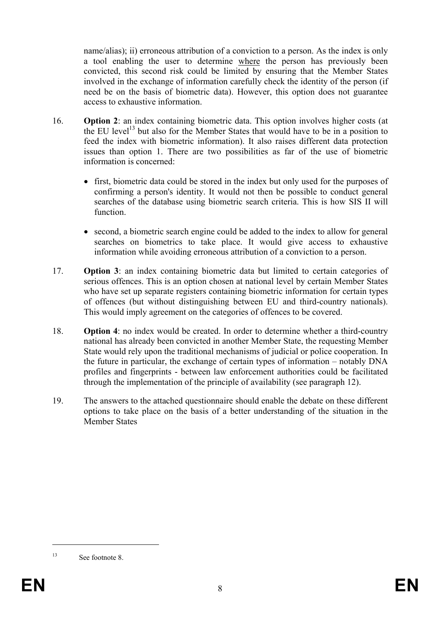name/alias); ii) erroneous attribution of a conviction to a person. As the index is only a tool enabling the user to determine where the person has previously been convicted, this second risk could be limited by ensuring that the Member States involved in the exchange of information carefully check the identity of the person (if need be on the basis of biometric data). However, this option does not guarantee access to exhaustive information.

- 16. **Option 2**: an index containing biometric data. This option involves higher costs (at the EU level<sup>13</sup> but also for the Member States that would have to be in a position to feed the index with biometric information). It also raises different data protection issues than option 1. There are two possibilities as far of the use of biometric information is concerned:
	- first, biometric data could be stored in the index but only used for the purposes of confirming a person's identity. It would not then be possible to conduct general searches of the database using biometric search criteria. This is how SIS II will function.
	- second, a biometric search engine could be added to the index to allow for general searches on biometrics to take place. It would give access to exhaustive information while avoiding erroneous attribution of a conviction to a person.
- 17. **Option 3**: an index containing biometric data but limited to certain categories of serious offences. This is an option chosen at national level by certain Member States who have set up separate registers containing biometric information for certain types of offences (but without distinguishing between EU and third-country nationals). This would imply agreement on the categories of offences to be covered.
- 18. **Option 4**: no index would be created. In order to determine whether a third-country national has already been convicted in another Member State, the requesting Member State would rely upon the traditional mechanisms of judicial or police cooperation. In the future in particular, the exchange of certain types of information – notably DNA profiles and fingerprints - between law enforcement authorities could be facilitated through the implementation of the principle of availability (see paragraph 12).
- 19. The answers to the attached questionnaire should enable the debate on these different options to take place on the basis of a better understanding of the situation in the Member States

<sup>13</sup> See footnote 8.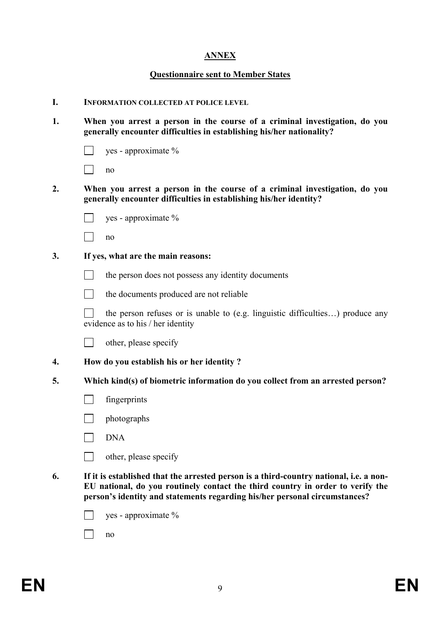# **ANNEX**

### **Questionnaire sent to Member States**

#### **I. INFORMATION COLLECTED AT POLICE LEVEL**

- **1. When you arrest a person in the course of a criminal investigation, do you generally encounter difficulties in establishing his/her nationality?** 
	- $\Box$  ves approximate %

 $\Box$  no

- **2. When you arrest a person in the course of a criminal investigation, do you generally encounter difficulties in establishing his/her identity?** 
	- yes approximate %

no

- **3. If yes, what are the main reasons:** 
	- $\Box$  the person does not possess any identity documents
	- T the documents produced are not reliable

 $\Box$  the person refuses or is unable to (e.g. linguistic difficulties...) produce any evidence as to his / her identity



- **4. How do you establish his or her identity ?**
- **5. Which kind(s) of biometric information do you collect from an arrested person?** 
	- $\Box$  fingerprints
	- $\Box$  photographs
	- **DNA**
	- $\Box$  other, please specify
- **6. If it is established that the arrested person is a third-country national, i.e. a non-EU national, do you routinely contact the third country in order to verify the person's identity and statements regarding his/her personal circumstances?** 
	- $\Box$  yes approximate %

 $\Box$  no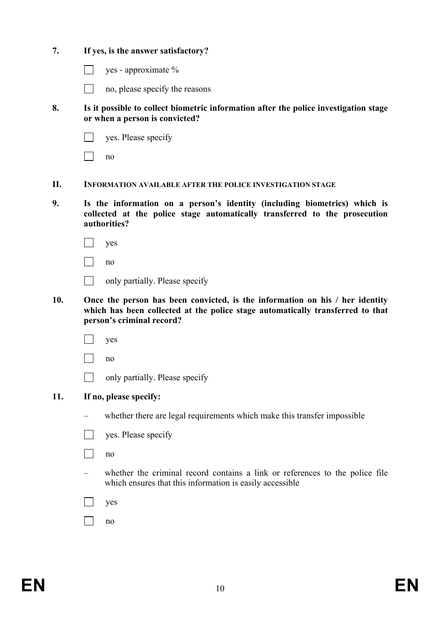|     |                                                                                                                                                                                             | yes - approximate %                                                                                                                      |
|-----|---------------------------------------------------------------------------------------------------------------------------------------------------------------------------------------------|------------------------------------------------------------------------------------------------------------------------------------------|
|     |                                                                                                                                                                                             | no, please specify the reasons                                                                                                           |
| 8.  | Is it possible to collect biometric information after the police investigation stage<br>or when a person is convicted?                                                                      |                                                                                                                                          |
|     |                                                                                                                                                                                             | yes. Please specify                                                                                                                      |
|     |                                                                                                                                                                                             | no                                                                                                                                       |
| П.  |                                                                                                                                                                                             | <b>INFORMATION AVAILABLE AFTER THE POLICE INVESTIGATION STAGE</b>                                                                        |
| 9.  | Is the information on a person's identity (including biometrics) which is<br>collected at the police stage automatically transferred to the prosecution<br>authorities?                     |                                                                                                                                          |
|     |                                                                                                                                                                                             | yes                                                                                                                                      |
|     |                                                                                                                                                                                             | no                                                                                                                                       |
|     |                                                                                                                                                                                             | only partially. Please specify                                                                                                           |
| 10. | Once the person has been convicted, is the information on his / her identity<br>which has been collected at the police stage automatically transferred to that<br>person's criminal record? |                                                                                                                                          |
|     |                                                                                                                                                                                             |                                                                                                                                          |
|     |                                                                                                                                                                                             | yes                                                                                                                                      |
|     |                                                                                                                                                                                             | no                                                                                                                                       |
|     |                                                                                                                                                                                             | only partially. Please specify                                                                                                           |
| 11. |                                                                                                                                                                                             | If no, please specify:                                                                                                                   |
|     |                                                                                                                                                                                             | whether there are legal requirements which make this transfer impossible                                                                 |
|     |                                                                                                                                                                                             | yes. Please specify                                                                                                                      |
|     |                                                                                                                                                                                             | no                                                                                                                                       |
|     |                                                                                                                                                                                             | whether the criminal record contains a link or references to the police file<br>which ensures that this information is easily accessible |
|     |                                                                                                                                                                                             | yes                                                                                                                                      |

**7. If yes, is the answer satisfactory?**